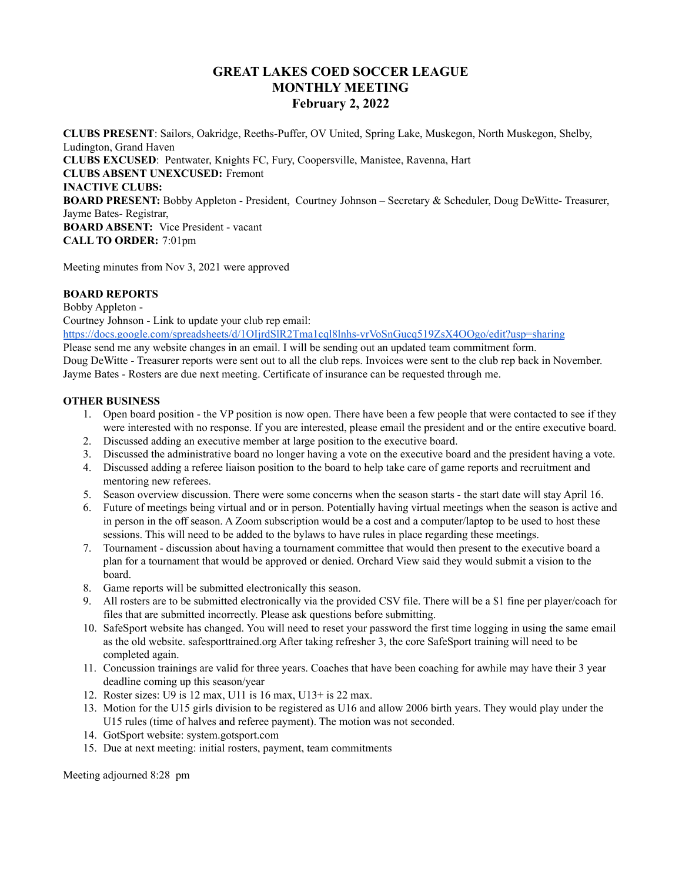## **GREAT LAKES COED SOCCER LEAGUE MONTHLY MEETING February 2, 2022**

**CLUBS PRESENT**: Sailors, Oakridge, Reeths-Puffer, OV United, Spring Lake, Muskegon, North Muskegon, Shelby, Ludington, Grand Haven **CLUBS EXCUSED**: Pentwater, Knights FC, Fury, Coopersville, Manistee, Ravenna, Hart **CLUBS ABSENT UNEXCUSED:** Fremont **INACTIVE CLUBS: BOARD PRESENT:** Bobby Appleton - President, Courtney Johnson – Secretary & Scheduler, Doug DeWitte- Treasurer, Jayme Bates- Registrar, **BOARD ABSENT:** Vice President - vacant **CALL TO ORDER:** 7:01pm

Meeting minutes from Nov 3, 2021 were approved

## **BOARD REPORTS**

Bobby Appleton -

Courtney Johnson - Link to update your club rep email:

<https://docs.google.com/spreadsheets/d/1OIjrdSlR2Tma1cql8lnhs-vrVoSnGucq519ZsX4OOgo/edit?usp=sharing>

Please send me any website changes in an email. I will be sending out an updated team commitment form. Doug DeWitte - Treasurer reports were sent out to all the club reps. Invoices were sent to the club rep back in November. Jayme Bates - Rosters are due next meeting. Certificate of insurance can be requested through me.

## **OTHER BUSINESS**

- 1. Open board position the VP position is now open. There have been a few people that were contacted to see if they were interested with no response. If you are interested, please email the president and or the entire executive board.
- 2. Discussed adding an executive member at large position to the executive board.
- 3. Discussed the administrative board no longer having a vote on the executive board and the president having a vote.
- 4. Discussed adding a referee liaison position to the board to help take care of game reports and recruitment and mentoring new referees.
- 5. Season overview discussion. There were some concerns when the season starts the start date will stay April 16.
- 6. Future of meetings being virtual and or in person. Potentially having virtual meetings when the season is active and in person in the off season. A Zoom subscription would be a cost and a computer/laptop to be used to host these sessions. This will need to be added to the bylaws to have rules in place regarding these meetings.
- 7. Tournament discussion about having a tournament committee that would then present to the executive board a plan for a tournament that would be approved or denied. Orchard View said they would submit a vision to the board.
- 8. Game reports will be submitted electronically this season.
- 9. All rosters are to be submitted electronically via the provided CSV file. There will be a \$1 fine per player/coach for files that are submitted incorrectly. Please ask questions before submitting.
- 10. SafeSport website has changed. You will need to reset your password the first time logging in using the same email as the old website. safesporttrained.org After taking refresher 3, the core SafeSport training will need to be completed again.
- 11. Concussion trainings are valid for three years. Coaches that have been coaching for awhile may have their 3 year deadline coming up this season/year
- 12. Roster sizes: U9 is 12 max, U11 is 16 max, U13+ is 22 max.
- 13. Motion for the U15 girls division to be registered as U16 and allow 2006 birth years. They would play under the U15 rules (time of halves and referee payment). The motion was not seconded.
- 14. GotSport website: system.gotsport.com
- 15. Due at next meeting: initial rosters, payment, team commitments

Meeting adjourned 8:28 pm